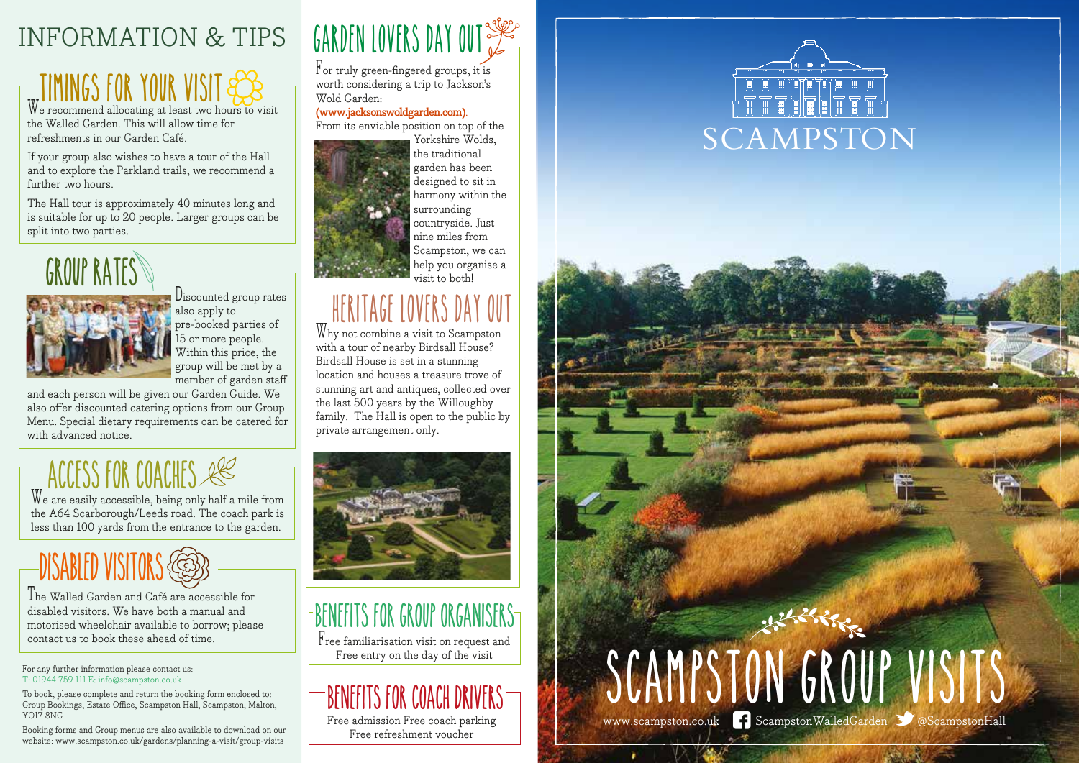#### INFORMATION & TIPS

### **Timings for your visit**

We recommend allocating at least two hours to visit the Walled Garden. This will allow time for refreshments in our Garden Café.

If your group also wishes to have a tour of the Hall and to explore the Parkland trails, we recommend a further two hours.

The Hall tour is approximately 40 minutes long and is suitable for up to 20 people. Larger groups can be split into two parties.



 $\Box$  Discounted group rates also apply to pre-booked parties of 15 or more people. Within this price, the group will be met by a member of garden staff

and each person will be given our Garden Guide. We also offer discounted catering options from our Group Menu. Special dietary requirements can be catered for with advanced notice.

### **Access for coaches**

We are easily accessible, being only half a mile from the A64 Scarborough/Leeds road. The coach park is less than 100 yards from the entrance to the garden.

### **Disabled visitors**

The Walled Garden and Café are accessible for disabled visitors. We have both a manual and motorised wheelchair available to borrow; please contact us to book these ahead of time.

For any further information please contact us: T: 01944 759 111 E: info@scampston.co.uk

To book, please complete and return the booking form enclosed to: Group Bookings, Estate Office, Scampston Hall, Scampston, Malton, YO17 8NG

Booking forms and Group menus are also available to download on our website: www.scampston.co.uk/gardens/planning-a-visit/group-visits

### **garden lovers day out**

For truly green-fingered groups, it is worth considering a trip to Jackson's Wold Garden:

**(www.jacksonswoldgarden.com)**. From its enviable position on top of the



garden has been designed to sit in harmony within the surrounding countryside. Just nine miles from Scampston, we can help you organise a visit to both!

#### **HERITAGE LOVERS DAY**

Why not combine a visit to Scampston with a tour of nearby Birdsall House? Birdsall House is set in a stunning location and houses a treasure trove of stunning art and antiques, collected over the last 500 years by the Willoughby family. The Hall is open to the public by private arrangement only.



### **Benefits for Group Organisers**

 $\mathbf{F}_{\text{ree}}$  familiarisation visit on request and Free entry on the day of the visit

#### **Benefits for coach drivers**

Free admission Free coach parking Free refreshment voucher



## **scampston group visits** www.scampston.co.uk **?** ScampstonWalledGarden 3 @ScampstonHall

 $\mathbf{r}$